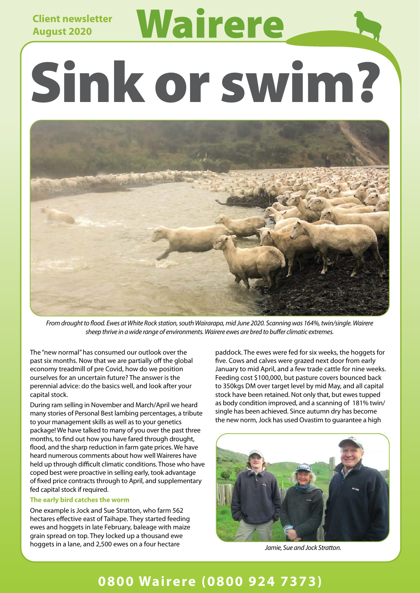## **Client newsletter August 2020**

# Wairere Sink or swim?



*From drought to flood. Ewes at White Rock station, south Wairarapa, mid June 2020. Scanning was 164%, twin/single. Wairere sheep thrive in a wide range of environments. Wairere ewes are bred to buffer climatic extremes.*

The "new normal" has consumed our outlook over the past six months. Now that we are partially off the global economy treadmill of pre Covid, how do we position ourselves for an uncertain future? The answer is the perennial advice: do the basics well, and look after your capital stock.

During ram selling in November and March/April we heard many stories of Personal Best lambing percentages, a tribute to your management skills as well as to your genetics package! We have talked to many of you over the past three months, to find out how you have fared through drought, flood, and the sharp reduction in farm gate prices. We have heard numerous comments about how well Waireres have held up through difficult climatic conditions. Those who have coped best were proactive in selling early, took advantage of fixed price contracts through to April, and supplementary fed capital stock if required.

#### **The early bird catches the worm**

One example is Jock and Sue Stratton, who farm 562 hectares effective east of Taihape. They started feeding ewes and hoggets in late February, baleage with maize grain spread on top. They locked up a thousand ewe hoggets in a lane, and 2,500 ewes on a four hectare

paddock. The ewes were fed for six weeks, the hoggets for five. Cows and calves were grazed next door from early January to mid April, and a few trade cattle for nine weeks. Feeding cost \$100,000, but pasture covers bounced back to 350kgs DM over target level by mid May, and all capital stock have been retained. Not only that, but ewes tupped as body condition improved, and a scanning of 181% twin/ single has been achieved. Since autumn dry has become the new norm, Jock has used Ovastim to guarantee a high



*Jamie, Sue and Jock Stratton.*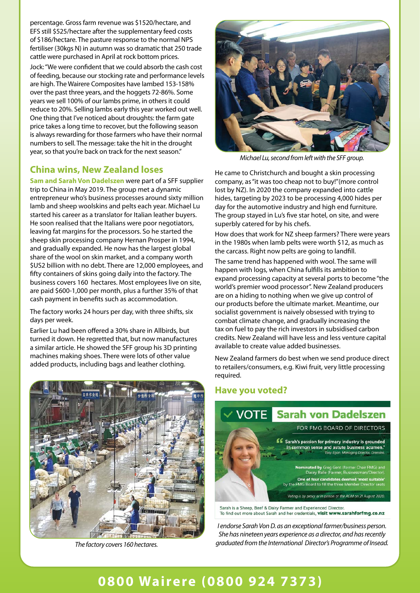percentage. Gross farm revenue was \$1520/hectare, and EFS still \$525/hectare after the supplementary feed costs of \$186/hectare. The pasture response to the normal NPS fertiliser (30kgs N) in autumn was so dramatic that 250 trade cattle were purchased in April at rock bottom prices.

Jock: "We were confident that we could absorb the cash cost of feeding, because our stocking rate and performance levels are high. The Wairere Composites have lambed 153-158% over the past three years, and the hoggets 72-86%. Some years we sell 100% of our lambs prime, in others it could reduce to 20%. Selling lambs early this year worked out well. One thing that I've noticed about droughts: the farm gate price takes a long time to recover, but the following season is always rewarding for those farmers who have their normal numbers to sell. The message: take the hit in the drought year, so that you're back on track for the next season."

## **China wins, New Zealand loses**

**Sam and Sarah Von Dadelszen** were part of a SFF supplier trip to China in May 2019. The group met a dynamic entrepreneur who's business processes around sixty million lamb and sheep woolskins and pelts each year. Michael Lu started his career as a translator for Italian leather buyers. He soon realised that the Italians were poor negotiators, leaving fat margins for the processors. So he started the sheep skin processing company Hernan Prosper in 1994, and gradually expanded. He now has the largest global share of the wool on skin market, and a company worth \$US2 billion with no debt. There are 12,000 employees, and fifty containers of skins going daily into the factory. The business covers 160 hectares. Most employees live on site, are paid \$600-1,000 per month, plus a further 35% of that cash payment in benefits such as accommodation.

The factory works 24 hours per day, with three shifts, six days per week.

Earlier Lu had been offered a 30% share in Allbirds, but turned it down. He regretted that, but now manufactures a similar article. He showed the SFF group his 3D printing machines making shoes. There were lots of other value added products, including bags and leather clothing.



*The factory covers 160 hectares.*



*Michael Lu, second from left with the SFF group.*

He came to Christchurch and bought a skin processing company, as "it was too cheap not to buy!"(more control lost by NZ). In 2020 the company expanded into cattle hides, targeting by 2023 to be processing 4,000 hides per day for the automotive industry and high end furniture. The group stayed in Lu's five star hotel, on site, and were superbly catered for by his chefs.

How does that work for NZ sheep farmers? There were years in the 1980s when lamb pelts were worth \$12, as much as the carcass. Right now pelts are going to landfill.

The same trend has happened with wool. The same will happen with logs, when China fulfills its ambition to expand processing capacity at several ports to become "the world's premier wood processor". New Zealand producers are on a hiding to nothing when we give up control of our products before the ultimate market. Meantime, our socialist government is naively obsessed with trying to combat climate change, and gradually increasing the tax on fuel to pay the rich investors in subsidised carbon credits. New Zealand will have less and less venture capital available to create value added businesses.

New Zealand farmers do best when we send produce direct to retailers/consumers, e.g. Kiwi fruit, very little processing required.

#### **Have you voted?**



Sarah is a Sheep, Beef & Dairy Farmer and Experienced Director. To find out more about Sarah and her credentials, visit www.sarahforfmg.co.nz

*I endorse Sarah Von D. as an exceptional farmer/business person. She has nineteen years experience as a director, and has recently graduated from the International Director's Programme of Insead.*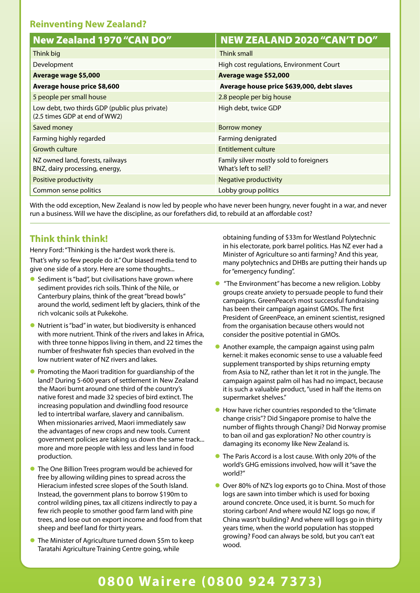## **Reinventing New Zealand?**

| New Zealand 1970 "CAN DO"                                                       | <b>NEW ZEALAND 2020 "CAN'T DO"</b>                              |
|---------------------------------------------------------------------------------|-----------------------------------------------------------------|
| Think big                                                                       | Think small                                                     |
| Development                                                                     | High cost regulations, Environment Court                        |
| Average wage \$5,000                                                            | Average wage \$52,000                                           |
| Average house price \$8,600                                                     | Average house price \$639,000, debt slaves                      |
| 5 people per small house                                                        | 2.8 people per big house                                        |
| Low debt, two thirds GDP (public plus private)<br>(2.5 times GDP at end of WW2) | High debt, twice GDP                                            |
| Saved money                                                                     | Borrow money                                                    |
| Farming highly regarded                                                         | Farming denigrated                                              |
| <b>Growth culture</b>                                                           | Entitlement culture                                             |
| NZ owned land, forests, railways<br>BNZ, dairy processing, energy,              | Family silver mostly sold to foreigners<br>What's left to sell? |
| Positive productivity                                                           | Negative productivity                                           |
| Common sense politics                                                           | Lobby group politics                                            |

With the odd exception, New Zealand is now led by people who have never been hungry, never fought in a war, and never run a business. Will we have the discipline, as our forefathers did, to rebuild at an affordable cost?

## **Think think think!**

Henry Ford: "Thinking is the hardest work there is. That's why so few people do it." Our biased media tend to give one side of a story. Here are some thoughts...

- $\bullet$  Sediment is "bad", but civilisations have grown where sediment provides rich soils. Think of the Nile, or Canterbury plains, think of the great "bread bowls" around the world, sediment left by glaciers, think of the rich volcanic soils at Pukekohe.
- l Nutrient is "bad" in water, but biodiversity is enhanced with more nutrient. Think of the rivers and lakes in Africa, with three tonne hippos living in them, and 22 times the number of freshwater fish species than evolved in the low nutrient water of NZ rivers and lakes.
- $\bullet$  Promoting the Maori tradition for guardianship of the land? During 5-600 years of settlement in New Zealand the Maori burnt around one third of the country's native forest and made 32 species of bird extinct. The increasing population and dwindling food resource led to intertribal warfare, slavery and cannibalism. When missionaries arrived, Maori immediately saw the advantages of new crops and new tools. Current government policies are taking us down the same track... more and more people with less and less land in food production.
- **The One Billion Trees program would be achieved for** free by allowing wilding pines to spread across the Hieracium infested scree slopes of the South Island. Instead, the government plans to borrow \$190m to control wilding pines, tax all citizens indirectly to pay a few rich people to smother good farm land with pine trees, and lose out on export income and food from that sheep and beef land for thirty years.
- **The Minister of Agriculture turned down \$5m to keep** Taratahi Agriculture Training Centre going, while

obtaining funding of \$33m for Westland Polytechnic in his electorate, pork barrel politics. Has NZ ever had a Minister of Agriculture so anti farming? And this year, many polytechnics and DHBs are putting their hands up for "emergency funding".

- "The Environment" has become a new religion. Lobby groups create anxiety to persuade people to fund their campaigns. GreenPeace's most successful fundraising has been their campaign against GMOs. The first President of GreenPeace, an eminent scientist, resigned from the organisation because others would not consider the positive potential in GMOs.
- $\bullet$  Another example, the campaign against using palm kernel: it makes economic sense to use a valuable feed supplement transported by ships returning empty from Asia to NZ, rather than let it rot in the jungle. The campaign against palm oil has had no impact, because it is such a valuable product, "used in half the items on supermarket shelves."
- $\bullet$  How have richer countries responded to the "climate" change crisis"? Did Singapore promise to halve the number of flights through Changi? Did Norway promise to ban oil and gas exploration? No other country is damaging its economy like New Zealand is.
- **The Paris Accord is a lost cause. With only 20% of the** world's GHG emissions involved, how will it "save the world?"
- **O** Over 80% of NZ's log exports go to China. Most of those logs are sawn into timber which is used for boxing around concrete. Once used, it is burnt. So much for storing carbon! And where would NZ logs go now, if China wasn't building? And where will logs go in thirty years time, when the world population has stopped growing? Food can always be sold, but you can't eat wood.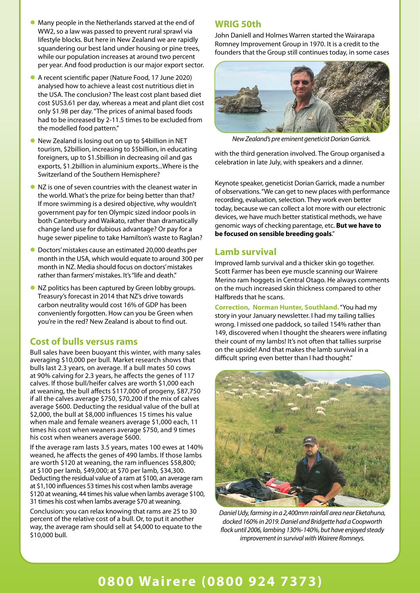- **Many people in the Netherlands starved at the end of** WW2, so a law was passed to prevent rural sprawl via lifestyle blocks. But here in New Zealand we are rapidly squandering our best land under housing or pine trees, while our population increases at around two percent per year. And food production is our major export sector.
- A recent scientific paper (Nature Food, 17 June 2020) analysed how to achieve a least cost nutritious diet in the USA. The conclusion? The least cost plant based diet cost \$US3.61 per day, whereas a meat and plant diet cost only \$1.98 per day. "The prices of animal based foods had to be increased by 2-11.5 times to be excluded from the modelled food pattern."
- l New Zealand is losing out on up to \$4billion in NET tourism, \$2billion, increasing to \$5billion, in educating foreigners, up to \$1.5billion in decreasing oil and gas exports, \$1.2billion in aluminium exports...Where is the Switzerland of the Southern Hemisphere?
- $\bullet$  NZ is one of seven countries with the cleanest water in the world. What's the prize for being better than that? If more swimming is a desired objective, why wouldn't government pay for ten Olympic sized indoor pools in both Canterbury and Waikato, rather than dramatically change land use for dubious advantage? Or pay for a huge sewer pipeline to take Hamilton's waste to Raglan?
- l Doctors' mistakes cause an estimated 20,000 deaths per month in the USA, which would equate to around 300 per month in NZ. Media should focus on doctors' mistakes rather than farmers' mistakes. It's "life and death."
- **•** NZ politics has been captured by Green lobby groups. Treasury's forecast in 2014 that NZ's drive towards carbon neutrality would cost 16% of GDP has been conveniently forgotten. How can you be Green when you're in the red? New Zealand is about to find out.

#### **Cost of bulls versus rams**

Bull sales have been buoyant this winter, with many sales averaging \$10,000 per bull. Market research shows that bulls last 2.3 years, on average. If a bull mates 50 cows at 90% calving for 2.3 years, he affects the genes of 117 calves. If those bull/heifer calves are worth \$1,000 each at weaning, the bull affects \$117,000 of progeny, \$87,750 if all the calves average \$750, \$70,200 if the mix of calves average \$600. Deducting the residual value of the bull at \$2,000, the bull at \$8,000 influences 15 times his value when male and female weaners average \$1,000 each, 11 times his cost when weaners average \$750, and 9 times his cost when weaners average \$600.

If the average ram lasts 3.5 years, mates 100 ewes at 140% weaned, he affects the genes of 490 lambs. If those lambs are worth \$120 at weaning, the ram influences \$58,800; at \$100 per lamb, \$49,000; at \$70 per lamb, \$34,300. Deducting the residual value of a ram at \$100, an average ram at \$1,100 influences 53 times his cost when lambs average \$120 at weaning, 44 times his value when lambs average \$100, 31 times his cost when lambs average \$70 at weaning.

Conclusion: you can relax knowing that rams are 25 to 30 percent of the relative cost of a bull. Or, to put it another way, the average ram should sell at \$4,000 to equate to the \$10,000 bull.

#### **WRIG 50th**

John Daniell and Holmes Warren started the Wairarapa Romney Improvement Group in 1970. It is a credit to the founders that the Group still continues today, in some cases



*New Zealand's pre eminent geneticist Dorian Garrick.*

with the third generation involved. The Group organised a celebration in late July, with speakers and a dinner.

Keynote speaker, geneticist Dorian Garrick, made a number of observations. "We can get to new places with performance recording, evaluation, selection. They work even better today, because we can collect a lot more with our electronic devices, we have much better statistical methods, we have genomic ways of checking parentage, etc. **But we have to be focused on sensible breeding goals**."

#### **Lamb survival**

Improved lamb survival and a thicker skin go together. Scott Farmer has been eye muscle scanning our Wairere Merino ram hoggets in Central Otago. He always comments on the much increased skin thickness compared to other Halfbreds that he scans.

**Correction, Norman Hunter, Southland.** "You had my story in your January newsletter. I had my tailing tallies wrong. I missed one paddock, so tailed 154% rather than 149, discovered when I thought the shearers were inflating their count of my lambs! It's not often that tallies surprise on the upside! And that makes the lamb survival in a difficult spring even better than I had thought."



*Daniel Udy, farming in a 2,400mm rainfall area near Eketahuna, docked 160% in 2019. Daniel and Bridgette had a Coopworth fl ock until 2006, lambing 130%-140%, but have enjoyed steady improvement in survival with Wairere Romneys.*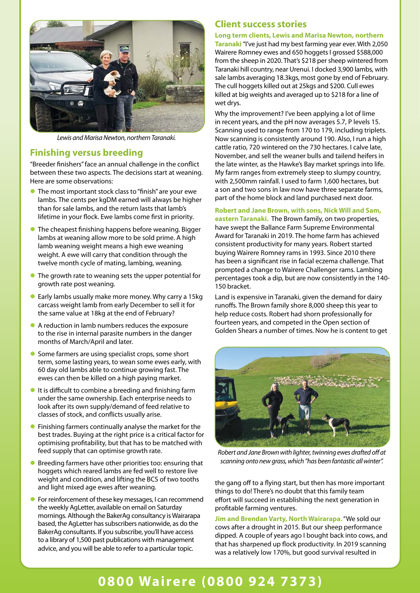

*Lewis and Marisa Newton, northern Taranaki.*

#### **Finishing versus breeding**

"Breeder finishers" face an annual challenge in the conflict between these two aspects. The decisions start at weaning. Here are some observations:

- **The most important stock class to "finish" are your ewe** lambs. The cents per kgDM earned will always be higher than for sale lambs, and the return lasts that lamb's lifetime in your flock. Ewe lambs come first in priority.
- $\bullet$  The cheapest finishing happens before weaning. Bigger lambs at weaning allow more to be sold prime. A high lamb weaning weight means a high ewe weaning weight. A ewe will carry that condition through the twelve month cycle of mating, lambing, weaning.
- The growth rate to weaning sets the upper potential for growth rate post weaning.
- l Early lambs usually make more money. Why carry a 15kg carcass weight lamb from early December to sell it for the same value at 18kg at the end of February?
- l A reduction in lamb numbers reduces the exposure to the rise in internal parasite numbers in the danger months of March/April and later.
- $\bullet$  Some farmers are using specialist crops, some short term, some lasting years, to wean some ewes early, with 60 day old lambs able to continue growing fast. The ewes can then be killed on a high paying market.
- $\bullet$  It is difficult to combine a breeding and finishing farm under the same ownership. Each enterprise needs to look after its own supply/demand of feed relative to classes of stock, and conflicts usually arise.
- $\bullet$  Finishing farmers continually analyse the market for the best trades. Buying at the right price is a critical factor for optimising profitability, but that has to be matched with feed supply that can optimise growth rate.
- **•** Breeding farmers have other priorities too: ensuring that hoggets which reared lambs are fed well to restore live weight and condition, and lifting the BCS of two tooths and light mixed age ewes after weaning.
- **•** For reinforcement of these key messages, I can recommend the weekly AgLetter, available on email on Saturday mornings. Although the BakerAg consultancy is Wairarapa based, the AgLetter has subscribers nationwide, as do the BakerAg consultants. If you subscribe, you'll have access to a library of 1,500 past publications with management advice, and you will be able to refer to a particular topic.

## **Client success stories**

**Long term clients, Lewis and Marisa Newton, northern** 

**Taranaki** "I've just had my best farming year ever. With 2,050 Wairere Romney ewes and 650 hoggets I grossed \$588,000 from the sheep in 2020. That's \$218 per sheep wintered from Taranaki hill country, near Urenui. I docked 3,900 lambs, with sale lambs averaging 18.3kgs, most gone by end of February. The cull hoggets killed out at 25kgs and \$200. Cull ewes killed at big weights and averaged up to \$218 for a line of wet drys.

Why the improvement? I've been applying a lot of lime in recent years, and the pH now averages 5.7, P levels 15. Scanning used to range from 170 to 179, including triplets. Now scanning is consistently around 190. Also, I run a high cattle ratio, 720 wintered on the 730 hectares. I calve late, November, and sell the weaner bulls and tailend heifers in the late winter, as the Hawke's Bay market springs into life. My farm ranges from extremely steep to slumpy country, with 2,500mm rainfall. I used to farm 1,600 hectares, but a son and two sons in law now have three separate farms, part of the home block and land purchased next door.

#### **Robert and Jane Brown, with sons, Nick Will and Sam,**

**eastern Taranaki.** The Brown family, on two properties, have swept the Ballance Farm Supreme Environmental Award for Taranaki in 2019. The home farm has achieved consistent productivity for many years. Robert started buying Wairere Romney rams in 1993. Since 2010 there has been a significant rise in facial eczema challenge. That prompted a change to Wairere Challenger rams. Lambing percentages took a dip, but are now consistently in the 140- 150 bracket.

Land is expensive in Taranaki, given the demand for dairy runoffs. The Brown family shore 8,000 sheep this year to help reduce costs. Robert had shorn professionally for fourteen years, and competed in the Open section of Golden Shears a number of times. Now he is content to get



*Robert and Jane Brown with lighter, twinning ewes drafted off at scanning onto new grass, which "has been fantastic all winter".*

the gang off to a flying start, but then has more important things to do! There's no doubt that this family team effort will succeed in establishing the next generation in profitable farming ventures.

**Jim and Brendan Varty, North Wairarapa.** "We sold our cows after a drought in 2015. But our sheep performance dipped. A couple of years ago I bought back into cows, and that has sharpened up flock productivity. In 2019 scanning was a relatively low 170%, but good survival resulted in